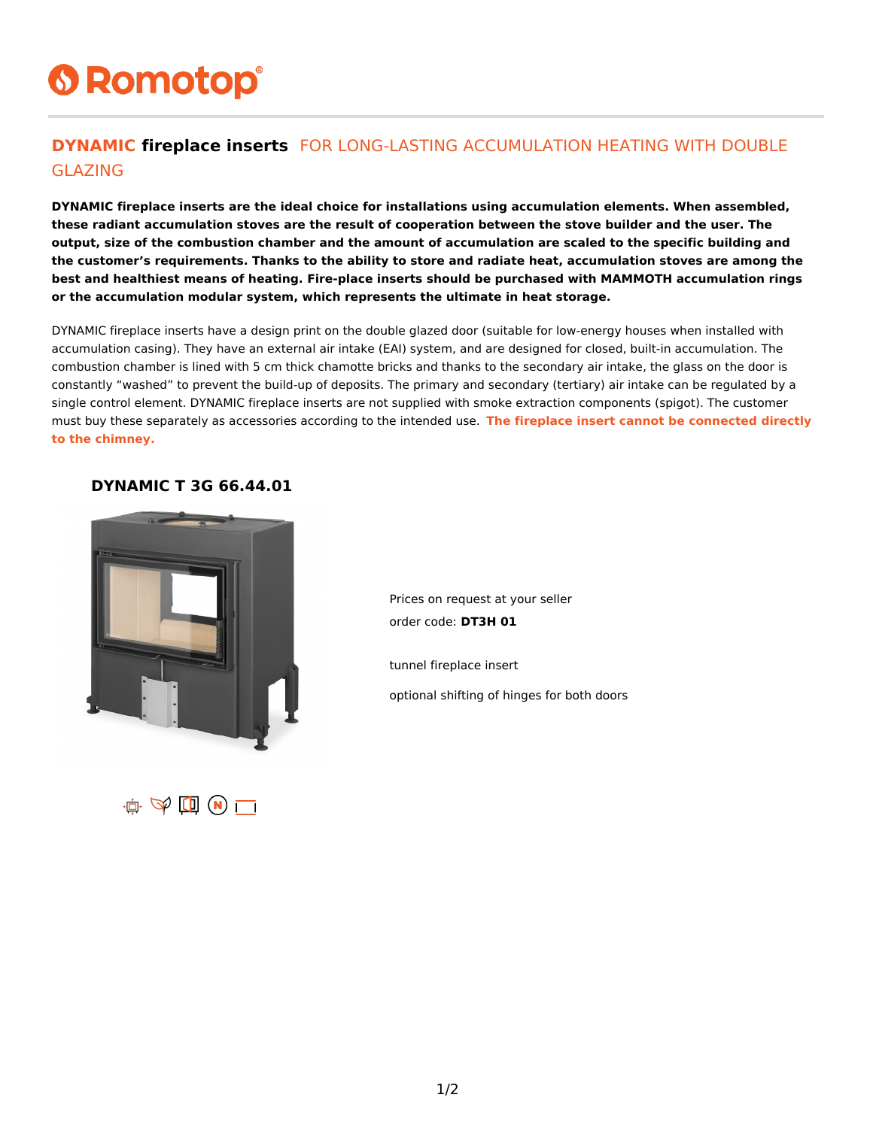# **6 Romotop®**

### **DYNAMIC fireplace inserts** FOR LONG-LASTING ACCUMULATION HEATING WITH DOUBLE GLAZING

**DYNAMIC fireplace inserts are the ideal choice for installations using accumulation elements. When assembled, these radiant accumulation stoves are the result of cooperation between the stove builder and the user. The output, size of the combustion chamber and the amount of accumulation are scaled to the specific building and the customer's requirements. Thanks to the ability to store and radiate heat, accumulation stoves are among the best and healthiest means of heating. Fire-place inserts should be purchased with MAMMOTH accumulation rings or the accumulation modular system, which represents the ultimate in heat storage.**

DYNAMIC fireplace inserts have a design print on the double glazed door (suitable for low-energy houses when installed with accumulation casing). They have an external air intake (EAI) system, and are designed for closed, built-in accumulation. The combustion chamber is lined with 5 cm thick chamotte bricks and thanks to the secondary air intake, the glass on the door is constantly "washed" to prevent the build-up of deposits. The primary and secondary (tertiary) air intake can be regulated by a single control element. DYNAMIC fireplace inserts are not supplied with smoke extraction components (spigot). The customer must buy these separately as accessories according to the intended use. **The fireplace insert cannot be connected directly to the chimney.**

#### **DYNAMIC T 3G 66.44.01**



Prices on request at your seller order code: **DT3H 01**

tunnel fireplace insert

optional shifting of hinges for both doors

 $\mathbf{u} \in \mathbf{W}$